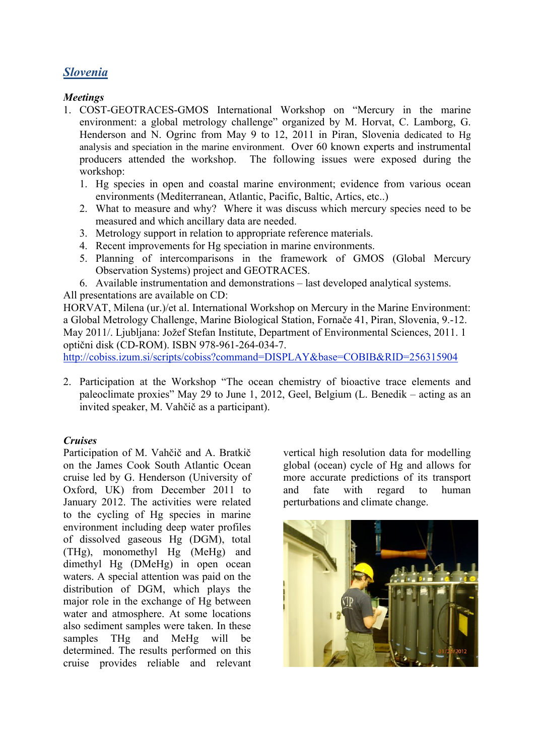# *Slovenia*

## *Meetings*

- 1. COST-GEOTRACES-GMOS International Workshop on "Mercury in the marine environment: a global metrology challenge" organized by M. Horvat, C. Lamborg, G. Henderson and N. Ogrinc from May 9 to 12, 2011 in Piran, Slovenia dedicated to Hg analysis and speciation in the marine environment. Over 60 known experts and instrumental producers attended the workshop. The following issues were exposed during the workshop:
	- 1. Hg species in open and coastal marine environment; evidence from various ocean environments (Mediterranean, Atlantic, Pacific, Baltic, Artics, etc..)
	- 2. What to measure and why? Where it was discuss which mercury species need to be measured and which ancillary data are needed.
	- 3. Metrology support in relation to appropriate reference materials.
	- 4. Recent improvements for Hg speciation in marine environments.
	- 5. Planning of intercomparisons in the framework of GMOS (Global Mercury Observation Systems) project and GEOTRACES.
	- 6. Available instrumentation and demonstrations last developed analytical systems.

All presentations are available on CD:

HORVAT, Milena (ur.)/et al. International Workshop on Mercury in the Marine Environment: a Global Metrology Challenge, Marine Biological Station, Fornače 41, Piran, Slovenia, 9.-12. May 2011/. Ljubljana: Jožef Stefan Institute, Department of Environmental Sciences, 2011. 1 optični disk (CD-ROM). ISBN 978-961-264-034-7.

http://cobiss.izum.si/scripts/cobiss?command=DISPLAY&base=COBIB&RID=256315904

2. Participation at the Workshop "The ocean chemistry of bioactive trace elements and paleoclimate proxies" May 29 to June 1, 2012, Geel, Belgium (L. Benedik – acting as an invited speaker, M. Vahčič as a participant).

## *Cruises*

Participation of M. Vahčič and A. Bratkič on the James Cook South Atlantic Ocean cruise led by G. Henderson (University of Oxford, UK) from December 2011 to January 2012. The activities were related to the cycling of Hg species in marine environment including deep water profiles of dissolved gaseous Hg (DGM), total (THg), monomethyl Hg (MeHg) and dimethyl Hg (DMeHg) in open ocean waters. A special attention was paid on the distribution of DGM, which plays the major role in the exchange of Hg between water and atmosphere. At some locations also sediment samples were taken. In these samples THg and MeHg will be determined. The results performed on this cruise provides reliable and relevant

vertical high resolution data for modelling global (ocean) cycle of Hg and allows for more accurate predictions of its transport and fate with regard to human perturbations and climate change.